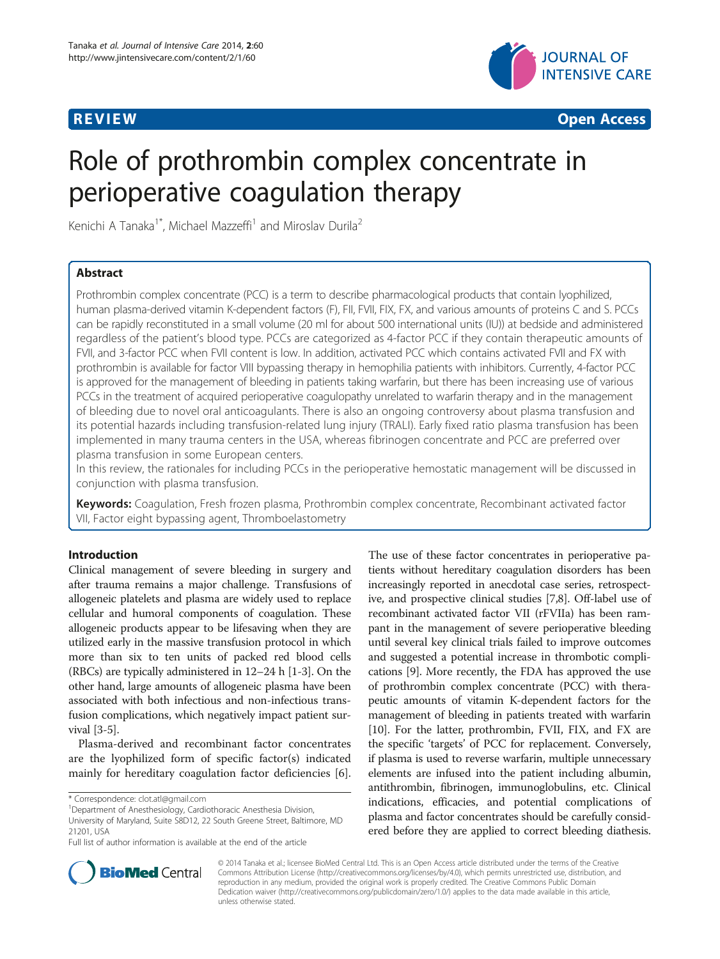

**REVIEW CONSTRUCTION CONSTRUCTION CONSTRUCTION CONSTRUCTION CONSTRUCTION CONSTRUCTION CONSTRUCTION CONSTRUCTION** 

# Role of prothrombin complex concentrate in perioperative coagulation therapy

Kenichi A Tanaka<sup>1\*</sup>, Michael Mazzeffi<sup>1</sup> and Miroslav Durila<sup>2</sup>

# Abstract

Prothrombin complex concentrate (PCC) is a term to describe pharmacological products that contain lyophilized, human plasma-derived vitamin K-dependent factors (F), FII, FVII, FIX, FX, and various amounts of proteins C and S. PCCs can be rapidly reconstituted in a small volume (20 ml for about 500 international units (IU)) at bedside and administered regardless of the patient's blood type. PCCs are categorized as 4-factor PCC if they contain therapeutic amounts of FVII, and 3-factor PCC when FVII content is low. In addition, activated PCC which contains activated FVII and FX with prothrombin is available for factor VIII bypassing therapy in hemophilia patients with inhibitors. Currently, 4-factor PCC is approved for the management of bleeding in patients taking warfarin, but there has been increasing use of various PCCs in the treatment of acquired perioperative coagulopathy unrelated to warfarin therapy and in the management of bleeding due to novel oral anticoagulants. There is also an ongoing controversy about plasma transfusion and its potential hazards including transfusion-related lung injury (TRALI). Early fixed ratio plasma transfusion has been implemented in many trauma centers in the USA, whereas fibrinogen concentrate and PCC are preferred over plasma transfusion in some European centers.

In this review, the rationales for including PCCs in the perioperative hemostatic management will be discussed in conjunction with plasma transfusion.

Keywords: Coagulation, Fresh frozen plasma, Prothrombin complex concentrate, Recombinant activated factor VII, Factor eight bypassing agent, Thromboelastometry

# Introduction

Clinical management of severe bleeding in surgery and after trauma remains a major challenge. Transfusions of allogeneic platelets and plasma are widely used to replace cellular and humoral components of coagulation. These allogeneic products appear to be lifesaving when they are utilized early in the massive transfusion protocol in which more than six to ten units of packed red blood cells (RBCs) are typically administered in 12–24 h [\[1](#page-7-0)-[3](#page-7-0)]. On the other hand, large amounts of allogeneic plasma have been associated with both infectious and non-infectious transfusion complications, which negatively impact patient survival [\[3](#page-7-0)-[5](#page-7-0)].

Plasma-derived and recombinant factor concentrates are the lyophilized form of specific factor(s) indicated mainly for hereditary coagulation factor deficiencies [\[6](#page-7-0)].

The use of these factor concentrates in perioperative patients without hereditary coagulation disorders has been increasingly reported in anecdotal case series, retrospective, and prospective clinical studies [[7,8](#page-7-0)]. Off-label use of recombinant activated factor VII (rFVIIa) has been rampant in the management of severe perioperative bleeding until several key clinical trials failed to improve outcomes and suggested a potential increase in thrombotic complications [\[9](#page-7-0)]. More recently, the FDA has approved the use of prothrombin complex concentrate (PCC) with therapeutic amounts of vitamin K-dependent factors for the management of bleeding in patients treated with warfarin [[10](#page-7-0)]. For the latter, prothrombin, FVII, FIX, and FX are the specific 'targets' of PCC for replacement. Conversely, if plasma is used to reverse warfarin, multiple unnecessary elements are infused into the patient including albumin, antithrombin, fibrinogen, immunoglobulins, etc. Clinical indications, efficacies, and potential complications of plasma and factor concentrates should be carefully considered before they are applied to correct bleeding diathesis.



© 2014 Tanaka et al.; licensee BioMed Central Ltd. This is an Open Access article distributed under the terms of the Creative Commons Attribution License [\(http://creativecommons.org/licenses/by/4.0\)](http://creativecommons.org/licenses/by/4.0), which permits unrestricted use, distribution, and reproduction in any medium, provided the original work is properly credited. The Creative Commons Public Domain Dedication waiver [\(http://creativecommons.org/publicdomain/zero/1.0/](http://creativecommons.org/publicdomain/zero/1.0/)) applies to the data made available in this article, unless otherwise stated.

<sup>\*</sup> Correspondence: [clot.atl@gmail.com](mailto:clot.atl@gmail.com) <sup>1</sup>

Department of Anesthesiology, Cardiothoracic Anesthesia Division, University of Maryland, Suite S8D12, 22 South Greene Street, Baltimore, MD 21201, USA

Full list of author information is available at the end of the article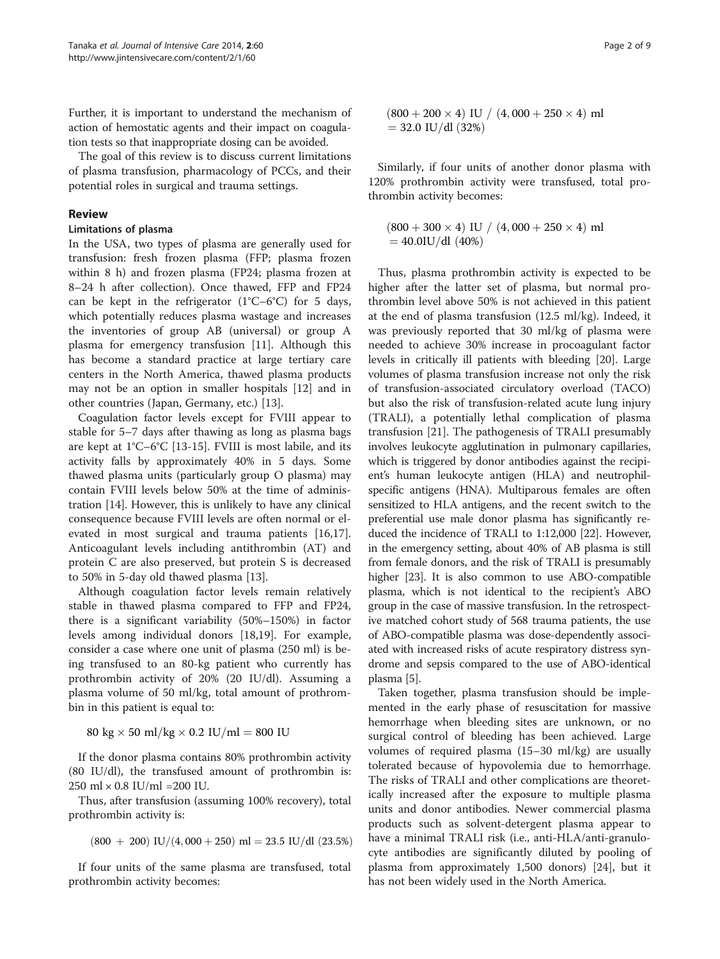Further, it is important to understand the mechanism of action of hemostatic agents and their impact on coagulation tests so that inappropriate dosing can be avoided.

The goal of this review is to discuss current limitations of plasma transfusion, pharmacology of PCCs, and their potential roles in surgical and trauma settings.

#### Review

#### Limitations of plasma

In the USA, two types of plasma are generally used for transfusion: fresh frozen plasma (FFP; plasma frozen within 8 h) and frozen plasma (FP24; plasma frozen at 8–24 h after collection). Once thawed, FFP and FP24 can be kept in the refrigerator  $(1^{\circ}C - 6^{\circ}C)$  for 5 days, which potentially reduces plasma wastage and increases the inventories of group AB (universal) or group A plasma for emergency transfusion [\[11](#page-7-0)]. Although this has become a standard practice at large tertiary care centers in the North America, thawed plasma products may not be an option in smaller hospitals [[12](#page-7-0)] and in other countries (Japan, Germany, etc.) [\[13](#page-7-0)].

Coagulation factor levels except for FVIII appear to stable for 5–7 days after thawing as long as plasma bags are kept at 1°C–6°C [\[13](#page-7-0)-[15\]](#page-7-0). FVIII is most labile, and its activity falls by approximately 40% in 5 days. Some thawed plasma units (particularly group O plasma) may contain FVIII levels below 50% at the time of administration [\[14](#page-7-0)]. However, this is unlikely to have any clinical consequence because FVIII levels are often normal or elevated in most surgical and trauma patients [\[16,17](#page-7-0)]. Anticoagulant levels including antithrombin (AT) and protein C are also preserved, but protein S is decreased to 50% in 5-day old thawed plasma [[13\]](#page-7-0).

Although coagulation factor levels remain relatively stable in thawed plasma compared to FFP and FP24, there is a significant variability (50%–150%) in factor levels among individual donors [[18,19\]](#page-7-0). For example, consider a case where one unit of plasma (250 ml) is being transfused to an 80-kg patient who currently has prothrombin activity of 20% (20 IU/dl). Assuming a plasma volume of 50 ml/kg, total amount of prothrombin in this patient is equal to:

80 kg  $\times$  50 ml/kg  $\times$  0.2 IU/ml = 800 IU

If the donor plasma contains 80% prothrombin activity (80 IU/dl), the transfused amount of prothrombin is: 250 ml × 0.8 IU/ml =200 IU.

Thus, after transfusion (assuming 100% recovery), total prothrombin activity is:

$$
(800\;+\;200)\;IU/(4,000+250)\;ml=23.5\;IU/dl\;(23.5\%)
$$

If four units of the same plasma are transfused, total prothrombin activity becomes:

$$
\begin{array}{c} (800+200\times4) \text{ IU} \;/ \; (4,000+250\times4) \text{ ml} \\ = 32.0 \text{ IU}/\text{dl} \; (32\%) \end{array}
$$

Similarly, if four units of another donor plasma with 120% prothrombin activity were transfused, total prothrombin activity becomes:

$$
\begin{array}{c} (800+300\times4) \text{ IU} \;/ \; (4,000+250\times4) \text{ ml} \\ = 40.0 \text{IU}/\text{dl} \; (40\%) \end{array}
$$

Thus, plasma prothrombin activity is expected to be higher after the latter set of plasma, but normal prothrombin level above 50% is not achieved in this patient at the end of plasma transfusion (12.5 ml/kg). Indeed, it was previously reported that 30 ml/kg of plasma were needed to achieve 30% increase in procoagulant factor levels in critically ill patients with bleeding [\[20\]](#page-7-0). Large volumes of plasma transfusion increase not only the risk of transfusion-associated circulatory overload (TACO) but also the risk of transfusion-related acute lung injury (TRALI), a potentially lethal complication of plasma transfusion [\[21](#page-7-0)]. The pathogenesis of TRALI presumably involves leukocyte agglutination in pulmonary capillaries, which is triggered by donor antibodies against the recipient's human leukocyte antigen (HLA) and neutrophilspecific antigens (HNA). Multiparous females are often sensitized to HLA antigens, and the recent switch to the preferential use male donor plasma has significantly reduced the incidence of TRALI to 1:12,000 [\[22\]](#page-7-0). However, in the emergency setting, about 40% of AB plasma is still from female donors, and the risk of TRALI is presumably higher [[23\]](#page-7-0). It is also common to use ABO-compatible plasma, which is not identical to the recipient's ABO group in the case of massive transfusion. In the retrospective matched cohort study of 568 trauma patients, the use of ABO-compatible plasma was dose-dependently associated with increased risks of acute respiratory distress syndrome and sepsis compared to the use of ABO-identical plasma [\[5](#page-7-0)].

Taken together, plasma transfusion should be implemented in the early phase of resuscitation for massive hemorrhage when bleeding sites are unknown, or no surgical control of bleeding has been achieved. Large volumes of required plasma (15–30 ml/kg) are usually tolerated because of hypovolemia due to hemorrhage. The risks of TRALI and other complications are theoretically increased after the exposure to multiple plasma units and donor antibodies. Newer commercial plasma products such as solvent-detergent plasma appear to have a minimal TRALI risk (i.e., anti-HLA/anti-granulocyte antibodies are significantly diluted by pooling of plasma from approximately 1,500 donors) [[24\]](#page-7-0), but it has not been widely used in the North America.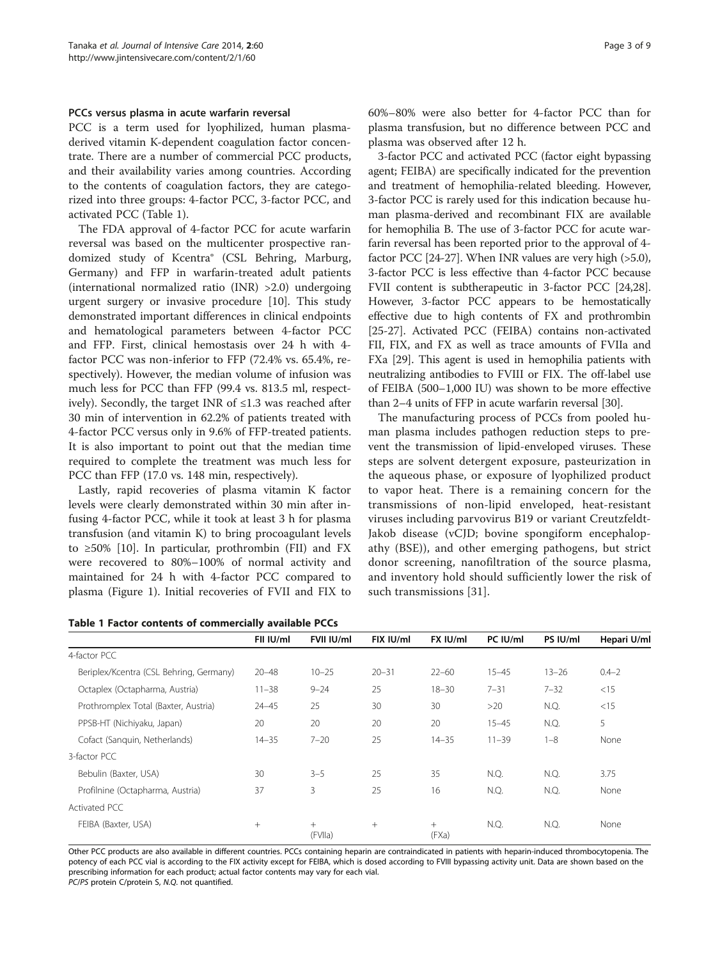#### PCCs versus plasma in acute warfarin reversal

PCC is a term used for lyophilized, human plasmaderived vitamin K-dependent coagulation factor concentrate. There are a number of commercial PCC products, and their availability varies among countries. According to the contents of coagulation factors, they are categorized into three groups: 4-factor PCC, 3-factor PCC, and activated PCC (Table 1).

The FDA approval of 4-factor PCC for acute warfarin reversal was based on the multicenter prospective randomized study of Kcentra® (CSL Behring, Marburg, Germany) and FFP in warfarin-treated adult patients (international normalized ratio (INR) >2.0) undergoing urgent surgery or invasive procedure [[10\]](#page-7-0). This study demonstrated important differences in clinical endpoints and hematological parameters between 4-factor PCC and FFP. First, clinical hemostasis over 24 h with 4 factor PCC was non-inferior to FFP (72.4% vs. 65.4%, respectively). However, the median volume of infusion was much less for PCC than FFP (99.4 vs. 813.5 ml, respectively). Secondly, the target INR of  $\leq 1.3$  was reached after 30 min of intervention in 62.2% of patients treated with 4-factor PCC versus only in 9.6% of FFP-treated patients. It is also important to point out that the median time required to complete the treatment was much less for PCC than FFP (17.0 vs. 148 min, respectively).

Lastly, rapid recoveries of plasma vitamin K factor levels were clearly demonstrated within 30 min after infusing 4-factor PCC, while it took at least 3 h for plasma transfusion (and vitamin K) to bring procoagulant levels to  $\geq 50\%$  [[10\]](#page-7-0). In particular, prothrombin (FII) and FX were recovered to 80%–100% of normal activity and maintained for 24 h with 4-factor PCC compared to plasma (Figure [1](#page-3-0)). Initial recoveries of FVII and FIX to

Table 1 Factor contents of commercially available PCCs

60%–80% were also better for 4-factor PCC than for plasma transfusion, but no difference between PCC and plasma was observed after 12 h.

3-factor PCC and activated PCC (factor eight bypassing agent; FEIBA) are specifically indicated for the prevention and treatment of hemophilia-related bleeding. However, 3-factor PCC is rarely used for this indication because human plasma-derived and recombinant FIX are available for hemophilia B. The use of 3-factor PCC for acute warfarin reversal has been reported prior to the approval of 4 factor PCC [[24-27\]](#page-7-0). When INR values are very high (>5.0), 3-factor PCC is less effective than 4-factor PCC because FVII content is subtherapeutic in 3-factor PCC [\[24,28](#page-7-0)]. However, 3-factor PCC appears to be hemostatically effective due to high contents of FX and prothrombin [[25](#page-7-0)-[27\]](#page-7-0). Activated PCC (FEIBA) contains non-activated FII, FIX, and FX as well as trace amounts of FVIIa and FXa [[29](#page-7-0)]. This agent is used in hemophilia patients with neutralizing antibodies to FVIII or FIX. The off-label use of FEIBA (500–1,000 IU) was shown to be more effective than 2–4 units of FFP in acute warfarin reversal [[30](#page-7-0)].

The manufacturing process of PCCs from pooled human plasma includes pathogen reduction steps to prevent the transmission of lipid-enveloped viruses. These steps are solvent detergent exposure, pasteurization in the aqueous phase, or exposure of lyophilized product to vapor heat. There is a remaining concern for the transmissions of non-lipid enveloped, heat-resistant viruses including parvovirus B19 or variant Creutzfeldt-Jakob disease (vCJD; bovine spongiform encephalopathy (BSE)), and other emerging pathogens, but strict donor screening, nanofiltration of the source plasma, and inventory hold should sufficiently lower the risk of such transmissions [[31\]](#page-7-0).

|                                         | FII IU/ml | FVII IU/ml        | FIX IU/ml | FX IU/ml     | PC IU/ml  | PS IU/ml  | Hepari U/ml |
|-----------------------------------------|-----------|-------------------|-----------|--------------|-----------|-----------|-------------|
| 4-factor PCC                            |           |                   |           |              |           |           |             |
| Beriplex/Kcentra (CSL Behring, Germany) | $20 - 48$ | $10 - 25$         | $20 - 31$ | $22 - 60$    | $15 - 45$ | $13 - 26$ | $0.4 - 2$   |
| Octaplex (Octapharma, Austria)          | $11 - 38$ | $9 - 24$          | 25        | $18 - 30$    | $7 - 31$  | $7 - 32$  | <15         |
| Prothromplex Total (Baxter, Austria)    | $24 - 45$ | 25                | 30        | 30           | >20       | N.Q.      | <15         |
| PPSB-HT (Nichiyaku, Japan)              | 20        | 20                | 20        | 20           | $15 - 45$ | N.Q.      | 5           |
| Cofact (Sanguin, Netherlands)           | $14 - 35$ | $7 - 20$          | 25        | $14 - 35$    | $11 - 39$ | $1 - 8$   | None        |
| 3-factor PCC                            |           |                   |           |              |           |           |             |
| Bebulin (Baxter, USA)                   | 30        | $3 - 5$           | 25        | 35           | N.Q.      | N.Q.      | 3.75        |
| Profilnine (Octapharma, Austria)        | 37        | 3                 | 25        | 16           | N.Q.      | N.Q.      | None        |
| Activated PCC                           |           |                   |           |              |           |           |             |
| FEIBA (Baxter, USA)                     | $+$       | $^{+}$<br>(FVIIa) | $^{+}$    | $+$<br>(FXa) | N.Q.      | N.Q.      | None        |

Other PCC products are also available in different countries. PCCs containing heparin are contraindicated in patients with heparin-induced thrombocytopenia. The potency of each PCC vial is according to the FIX activity except for FEIBA, which is dosed according to FVIII bypassing activity unit. Data are shown based on the prescribing information for each product; actual factor contents may vary for each vial.

PC/PS protein C/protein S, N.Q. not quantified.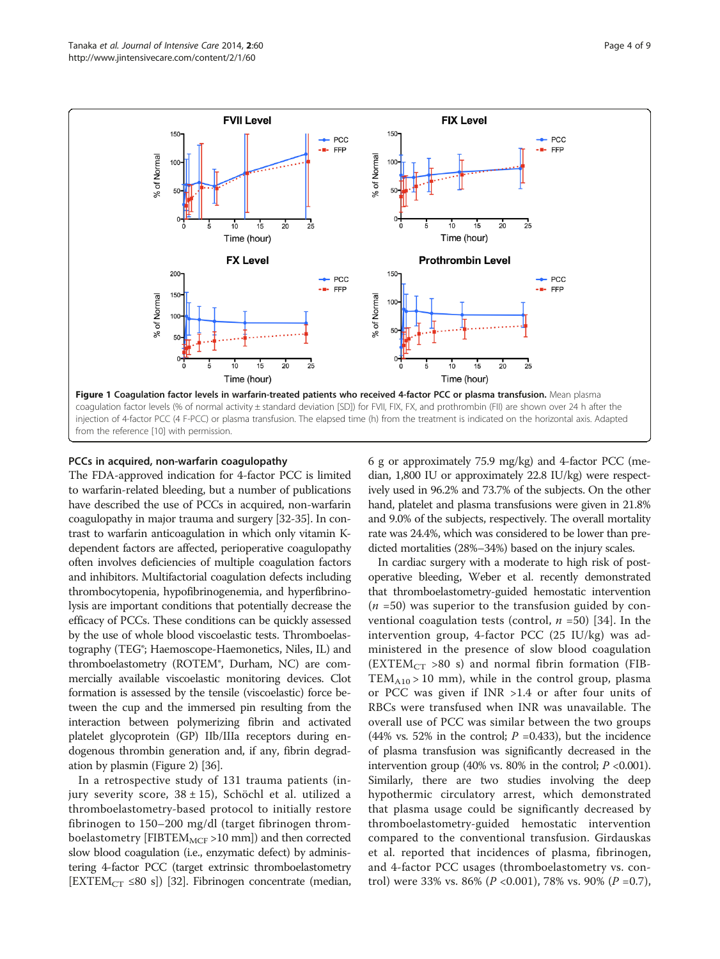<span id="page-3-0"></span>

# PCCs in acquired, non-warfarin coagulopathy

The FDA-approved indication for 4-factor PCC is limited to warfarin-related bleeding, but a number of publications have described the use of PCCs in acquired, non-warfarin coagulopathy in major trauma and surgery [\[32-35\]](#page-7-0). In contrast to warfarin anticoagulation in which only vitamin Kdependent factors are affected, perioperative coagulopathy often involves deficiencies of multiple coagulation factors and inhibitors. Multifactorial coagulation defects including thrombocytopenia, hypofibrinogenemia, and hyperfibrinolysis are important conditions that potentially decrease the efficacy of PCCs. These conditions can be quickly assessed by the use of whole blood viscoelastic tests. Thromboelastography (TEG®; Haemoscope-Haemonetics, Niles, IL) and thromboelastometry (ROTEM®, Durham, NC) are commercially available viscoelastic monitoring devices. Clot formation is assessed by the tensile (viscoelastic) force between the cup and the immersed pin resulting from the interaction between polymerizing fibrin and activated platelet glycoprotein (GP) IIb/IIIa receptors during endogenous thrombin generation and, if any, fibrin degradation by plasmin (Figure [2\)](#page-4-0) [[36](#page-8-0)].

In a retrospective study of 131 trauma patients (injury severity score,  $38 \pm 15$ ), Schöchl et al. utilized a thromboelastometry-based protocol to initially restore fibrinogen to 150–200 mg/dl (target fibrinogen thromboelastometry [FIBTE $M_{MCF}$  >10 mm]) and then corrected slow blood coagulation (i.e., enzymatic defect) by administering 4-factor PCC (target extrinsic thromboelastometry [EXTEM<sub>CT</sub> ≤80 s]) [\[32\]](#page-7-0). Fibrinogen concentrate (median, 6 g or approximately 75.9 mg/kg) and 4-factor PCC (median, 1,800 IU or approximately 22.8 IU/kg) were respectively used in 96.2% and 73.7% of the subjects. On the other hand, platelet and plasma transfusions were given in 21.8% and 9.0% of the subjects, respectively. The overall mortality rate was 24.4%, which was considered to be lower than predicted mortalities (28%–34%) based on the injury scales.

In cardiac surgery with a moderate to high risk of postoperative bleeding, Weber et al. recently demonstrated that thromboelastometry-guided hemostatic intervention  $(n = 50)$  was superior to the transfusion guided by conventional coagulation tests (control,  $n = 50$ ) [\[34](#page-7-0)]. In the intervention group, 4-factor PCC (25 IU/kg) was administered in the presence of slow blood coagulation  $(EXTEM<sub>CT</sub> >80 s)$  and normal fibrin formation (FIB- $TEM_{A10} > 10$  mm), while in the control group, plasma or PCC was given if INR >1.4 or after four units of RBCs were transfused when INR was unavailable. The overall use of PCC was similar between the two groups (44% vs. 52% in the control;  $P = 0.433$ ), but the incidence of plasma transfusion was significantly decreased in the intervention group (40% vs. 80% in the control;  $P < 0.001$ ). Similarly, there are two studies involving the deep hypothermic circulatory arrest, which demonstrated that plasma usage could be significantly decreased by thromboelastometry-guided hemostatic intervention compared to the conventional transfusion. Girdauskas et al. reported that incidences of plasma, fibrinogen, and 4-factor PCC usages (thromboelastometry vs. control) were 33% vs. 86% ( $P$  <0.001), 78% vs. 90% ( $P$  =0.7),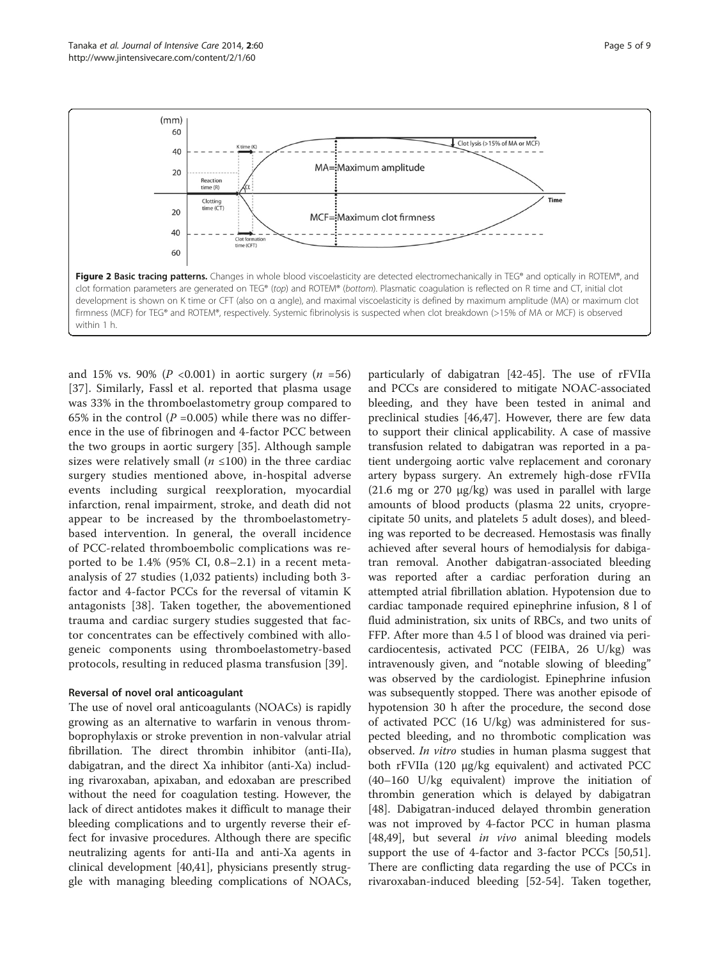<span id="page-4-0"></span>

and 15% vs. 90% ( $P < 0.001$ ) in aortic surgery ( $n = 56$ ) [[37](#page-8-0)]. Similarly, Fassl et al. reported that plasma usage was 33% in the thromboelastometry group compared to 65% in the control ( $P = 0.005$ ) while there was no difference in the use of fibrinogen and 4-factor PCC between the two groups in aortic surgery [[35\]](#page-7-0). Although sample sizes were relatively small ( $n \leq 100$ ) in the three cardiac surgery studies mentioned above, in-hospital adverse events including surgical reexploration, myocardial infarction, renal impairment, stroke, and death did not appear to be increased by the thromboelastometrybased intervention. In general, the overall incidence of PCC-related thromboembolic complications was reported to be 1.4% (95% CI, 0.8–2.1) in a recent metaanalysis of 27 studies (1,032 patients) including both 3 factor and 4-factor PCCs for the reversal of vitamin K antagonists [[38](#page-8-0)]. Taken together, the abovementioned trauma and cardiac surgery studies suggested that factor concentrates can be effectively combined with allogeneic components using thromboelastometry-based protocols, resulting in reduced plasma transfusion [[39](#page-8-0)].

# Reversal of novel oral anticoagulant

The use of novel oral anticoagulants (NOACs) is rapidly growing as an alternative to warfarin in venous thromboprophylaxis or stroke prevention in non-valvular atrial fibrillation. The direct thrombin inhibitor (anti-IIa), dabigatran, and the direct Xa inhibitor (anti-Xa) including rivaroxaban, apixaban, and edoxaban are prescribed without the need for coagulation testing. However, the lack of direct antidotes makes it difficult to manage their bleeding complications and to urgently reverse their effect for invasive procedures. Although there are specific neutralizing agents for anti-IIa and anti-Xa agents in clinical development [[40,41\]](#page-8-0), physicians presently struggle with managing bleeding complications of NOACs,

particularly of dabigatran [[42](#page-8-0)-[45\]](#page-8-0). The use of rFVIIa and PCCs are considered to mitigate NOAC-associated bleeding, and they have been tested in animal and preclinical studies [\[46,47\]](#page-8-0). However, there are few data to support their clinical applicability. A case of massive transfusion related to dabigatran was reported in a patient undergoing aortic valve replacement and coronary artery bypass surgery. An extremely high-dose rFVIIa (21.6 mg or 270 μg/kg) was used in parallel with large amounts of blood products (plasma 22 units, cryoprecipitate 50 units, and platelets 5 adult doses), and bleeding was reported to be decreased. Hemostasis was finally achieved after several hours of hemodialysis for dabigatran removal. Another dabigatran-associated bleeding was reported after a cardiac perforation during an attempted atrial fibrillation ablation. Hypotension due to cardiac tamponade required epinephrine infusion, 8 l of fluid administration, six units of RBCs, and two units of FFP. After more than 4.5 l of blood was drained via pericardiocentesis, activated PCC (FEIBA, 26 U/kg) was intravenously given, and "notable slowing of bleeding" was observed by the cardiologist. Epinephrine infusion was subsequently stopped. There was another episode of hypotension 30 h after the procedure, the second dose of activated PCC (16 U/kg) was administered for suspected bleeding, and no thrombotic complication was observed. In vitro studies in human plasma suggest that both rFVIIa (120 μg/kg equivalent) and activated PCC (40–160 U/kg equivalent) improve the initiation of thrombin generation which is delayed by dabigatran [[48\]](#page-8-0). Dabigatran-induced delayed thrombin generation was not improved by 4-factor PCC in human plasma [[48,49\]](#page-8-0), but several *in vivo* animal bleeding models support the use of 4-factor and 3-factor PCCs [\[50,51](#page-8-0)]. There are conflicting data regarding the use of PCCs in rivaroxaban-induced bleeding [\[52-54](#page-8-0)]. Taken together,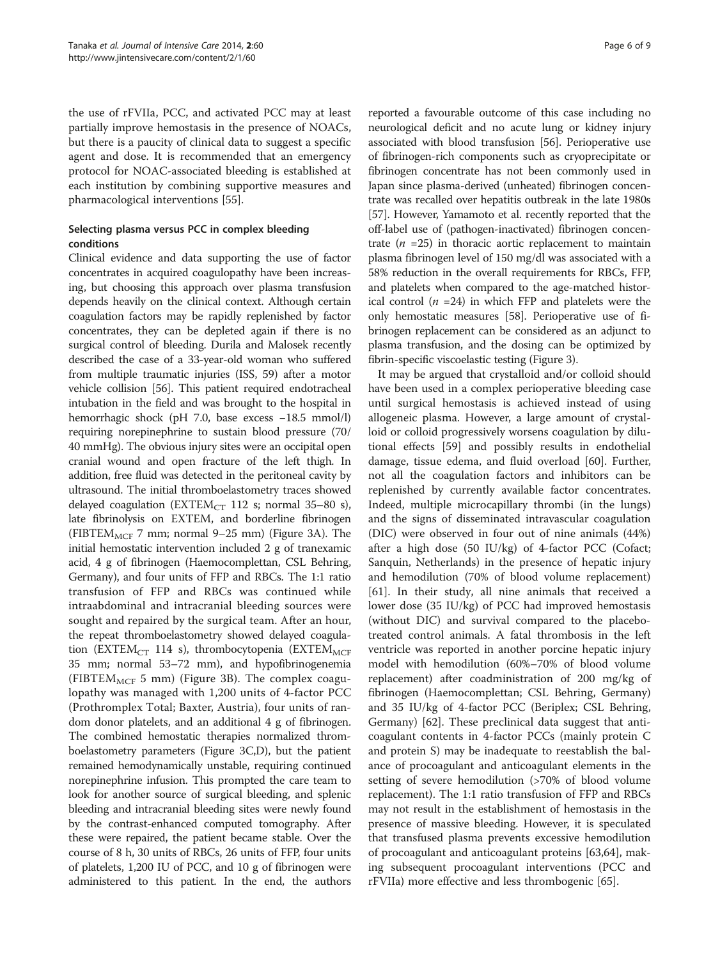the use of rFVIIa, PCC, and activated PCC may at least partially improve hemostasis in the presence of NOACs, but there is a paucity of clinical data to suggest a specific agent and dose. It is recommended that an emergency protocol for NOAC-associated bleeding is established at each institution by combining supportive measures and pharmacological interventions [[55](#page-8-0)].

# Selecting plasma versus PCC in complex bleeding conditions

Clinical evidence and data supporting the use of factor concentrates in acquired coagulopathy have been increasing, but choosing this approach over plasma transfusion depends heavily on the clinical context. Although certain coagulation factors may be rapidly replenished by factor concentrates, they can be depleted again if there is no surgical control of bleeding. Durila and Malosek recently described the case of a 33-year-old woman who suffered from multiple traumatic injuries (ISS, 59) after a motor vehicle collision [[56](#page-8-0)]. This patient required endotracheal intubation in the field and was brought to the hospital in hemorrhagic shock (pH 7.0, base excess −18.5 mmol/l) requiring norepinephrine to sustain blood pressure (70/ 40 mmHg). The obvious injury sites were an occipital open cranial wound and open fracture of the left thigh. In addition, free fluid was detected in the peritoneal cavity by ultrasound. The initial thromboelastometry traces showed delayed coagulation (EXTEM<sub>CT</sub> 112 s; normal 35–80 s), late fibrinolysis on EXTEM, and borderline fibrinogen (FIBTEM<sub>MCF</sub> 7 mm; normal 9–25 mm) (Figure [3](#page-6-0)A). The initial hemostatic intervention included 2 g of tranexamic acid, 4 g of fibrinogen (Haemocomplettan, CSL Behring, Germany), and four units of FFP and RBCs. The 1:1 ratio transfusion of FFP and RBCs was continued while intraabdominal and intracranial bleeding sources were sought and repaired by the surgical team. After an hour, the repeat thromboelastometry showed delayed coagulation (EXTEM<sub>CT</sub> 114 s), thrombocytopenia (EXTEM<sub>MCF</sub> 35 mm; normal 53–72 mm), and hypofibrinogenemia (FIBTEM $_{MCF}$  5 mm) (Figure [3](#page-6-0)B). The complex coagulopathy was managed with 1,200 units of 4-factor PCC (Prothromplex Total; Baxter, Austria), four units of random donor platelets, and an additional 4 g of fibrinogen. The combined hemostatic therapies normalized thromboelastometry parameters (Figure [3](#page-6-0)C,D), but the patient remained hemodynamically unstable, requiring continued norepinephrine infusion. This prompted the care team to look for another source of surgical bleeding, and splenic bleeding and intracranial bleeding sites were newly found by the contrast-enhanced computed tomography. After these were repaired, the patient became stable. Over the course of 8 h, 30 units of RBCs, 26 units of FFP, four units of platelets, 1,200 IU of PCC, and 10 g of fibrinogen were administered to this patient. In the end, the authors

reported a favourable outcome of this case including no neurological deficit and no acute lung or kidney injury associated with blood transfusion [[56](#page-8-0)]. Perioperative use of fibrinogen-rich components such as cryoprecipitate or fibrinogen concentrate has not been commonly used in Japan since plasma-derived (unheated) fibrinogen concentrate was recalled over hepatitis outbreak in the late 1980s [[57](#page-8-0)]. However, Yamamoto et al. recently reported that the off-label use of (pathogen-inactivated) fibrinogen concentrate  $(n = 25)$  in thoracic aortic replacement to maintain plasma fibrinogen level of 150 mg/dl was associated with a 58% reduction in the overall requirements for RBCs, FFP, and platelets when compared to the age-matched historical control ( $n = 24$ ) in which FFP and platelets were the only hemostatic measures [\[58\]](#page-8-0). Perioperative use of fibrinogen replacement can be considered as an adjunct to plasma transfusion, and the dosing can be optimized by fibrin-specific viscoelastic testing (Figure [3](#page-6-0)).

It may be argued that crystalloid and/or colloid should have been used in a complex perioperative bleeding case until surgical hemostasis is achieved instead of using allogeneic plasma. However, a large amount of crystalloid or colloid progressively worsens coagulation by dilutional effects [[59\]](#page-8-0) and possibly results in endothelial damage, tissue edema, and fluid overload [\[60\]](#page-8-0). Further, not all the coagulation factors and inhibitors can be replenished by currently available factor concentrates. Indeed, multiple microcapillary thrombi (in the lungs) and the signs of disseminated intravascular coagulation (DIC) were observed in four out of nine animals (44%) after a high dose (50 IU/kg) of 4-factor PCC (Cofact; Sanquin, Netherlands) in the presence of hepatic injury and hemodilution (70% of blood volume replacement) [[61\]](#page-8-0). In their study, all nine animals that received a lower dose (35 IU/kg) of PCC had improved hemostasis (without DIC) and survival compared to the placebotreated control animals. A fatal thrombosis in the left ventricle was reported in another porcine hepatic injury model with hemodilution (60%–70% of blood volume replacement) after coadministration of 200 mg/kg of fibrinogen (Haemocomplettan; CSL Behring, Germany) and 35 IU/kg of 4-factor PCC (Beriplex; CSL Behring, Germany) [\[62](#page-8-0)]. These preclinical data suggest that anticoagulant contents in 4-factor PCCs (mainly protein C and protein S) may be inadequate to reestablish the balance of procoagulant and anticoagulant elements in the setting of severe hemodilution (>70% of blood volume replacement). The 1:1 ratio transfusion of FFP and RBCs may not result in the establishment of hemostasis in the presence of massive bleeding. However, it is speculated that transfused plasma prevents excessive hemodilution of procoagulant and anticoagulant proteins [[63](#page-8-0),[64](#page-8-0)], making subsequent procoagulant interventions (PCC and rFVIIa) more effective and less thrombogenic [\[65](#page-8-0)].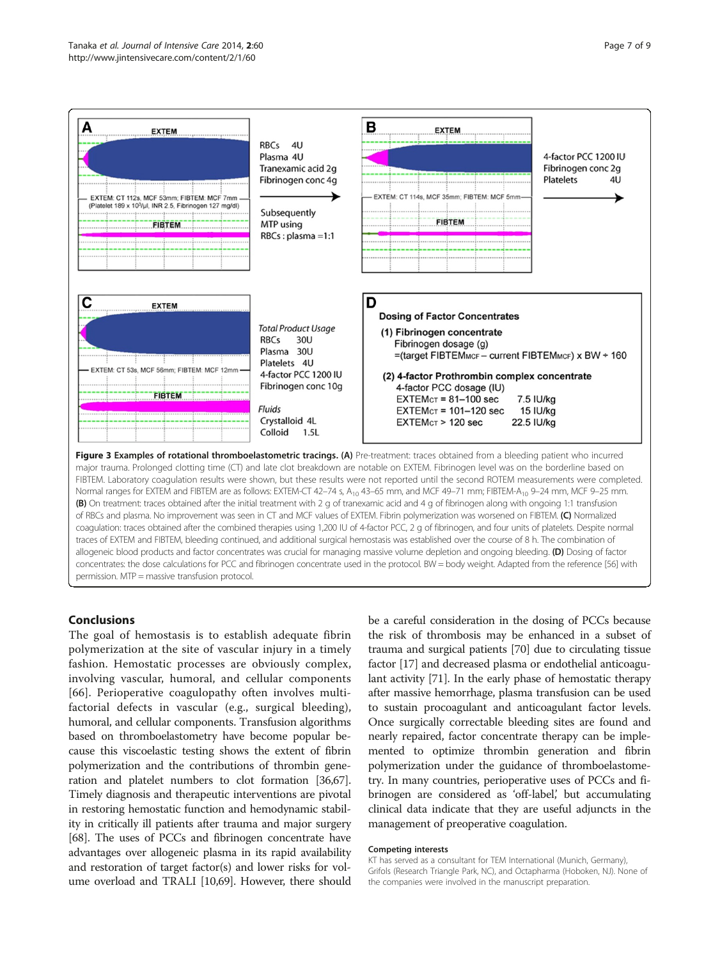<span id="page-6-0"></span>

traces of EXTEM and FIBTEM, bleeding continued, and additional surgical hemostasis was established over the course of 8 h. The combination of allogeneic blood products and factor concentrates was crucial for managing massive volume depletion and ongoing bleeding. (D) Dosing of factor concentrates: the dose calculations for PCC and fibrinogen concentrate used in the protocol. BW = body weight. Adapted from the reference [\[56\]](#page-8-0) with permission. MTP = massive transfusion protocol.

# Conclusions

The goal of hemostasis is to establish adequate fibrin polymerization at the site of vascular injury in a timely fashion. Hemostatic processes are obviously complex, involving vascular, humoral, and cellular components [[66](#page-8-0)]. Perioperative coagulopathy often involves multifactorial defects in vascular (e.g., surgical bleeding), humoral, and cellular components. Transfusion algorithms based on thromboelastometry have become popular because this viscoelastic testing shows the extent of fibrin polymerization and the contributions of thrombin generation and platelet numbers to clot formation [\[36,67](#page-8-0)]. Timely diagnosis and therapeutic interventions are pivotal in restoring hemostatic function and hemodynamic stability in critically ill patients after trauma and major surgery [[68](#page-8-0)]. The uses of PCCs and fibrinogen concentrate have advantages over allogeneic plasma in its rapid availability and restoration of target factor(s) and lower risks for volume overload and TRALI [\[10,](#page-7-0)[69](#page-8-0)]. However, there should

be a careful consideration in the dosing of PCCs because the risk of thrombosis may be enhanced in a subset of trauma and surgical patients [[70](#page-8-0)] due to circulating tissue factor [\[17](#page-7-0)] and decreased plasma or endothelial anticoagulant activity [[71](#page-8-0)]. In the early phase of hemostatic therapy after massive hemorrhage, plasma transfusion can be used to sustain procoagulant and anticoagulant factor levels. Once surgically correctable bleeding sites are found and nearly repaired, factor concentrate therapy can be implemented to optimize thrombin generation and fibrin polymerization under the guidance of thromboelastometry. In many countries, perioperative uses of PCCs and fibrinogen are considered as 'off-label,' but accumulating clinical data indicate that they are useful adjuncts in the management of preoperative coagulation.

#### Competing interests

KT has served as a consultant for TEM International (Munich, Germany), Grifols (Research Triangle Park, NC), and Octapharma (Hoboken, NJ). None of the companies were involved in the manuscript preparation.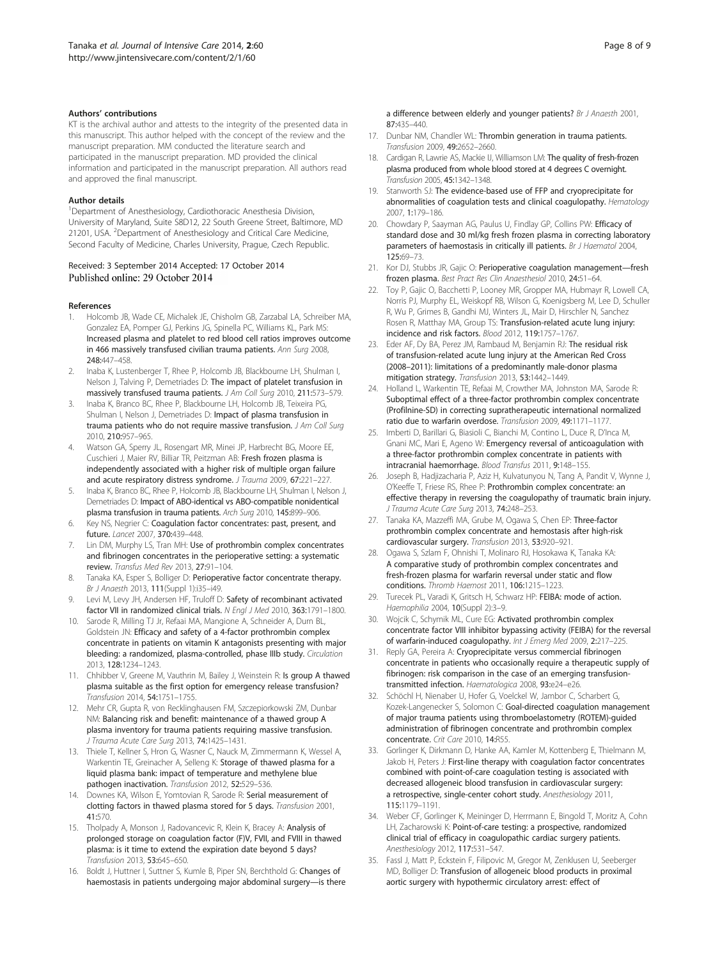#### <span id="page-7-0"></span>Authors' contributions

KT is the archival author and attests to the integrity of the presented data in this manuscript. This author helped with the concept of the review and the manuscript preparation. MM conducted the literature search and participated in the manuscript preparation. MD provided the clinical information and participated in the manuscript preparation. All authors read and approved the final manuscript.

#### Author details

<sup>1</sup>Department of Anesthesiology, Cardiothoracic Anesthesia Division, University of Maryland, Suite S8D12, 22 South Greene Street, Baltimore, MD 21201, USA. <sup>2</sup>Department of Anesthesiology and Critical Care Medicine, Second Faculty of Medicine, Charles University, Prague, Czech Republic.

#### Received: 3 September 2014 Accepted: 17 October 2014 Published online: 29 October 2014

#### References

- 1. Holcomb JB, Wade CE, Michalek JE, Chisholm GB, Zarzabal LA, Schreiber MA, Gonzalez EA, Pomper GJ, Perkins JG, Spinella PC, Williams KL, Park MS: Increased plasma and platelet to red blood cell ratios improves outcome in 466 massively transfused civilian trauma patients. Ann Surg 2008, 248:447–458.
- 2. Inaba K, Lustenberger T, Rhee P, Holcomb JB, Blackbourne LH, Shulman I, Nelson J, Talving P, Demetriades D: The impact of platelet transfusion in massively transfused trauma patients. J Am Coll Surg 2010, 211:573–579.
- 3. Inaba K, Branco BC, Rhee P, Blackbourne LH, Holcomb JB, Teixeira PG, Shulman I, Nelson J, Demetriades D: Impact of plasma transfusion in trauma patients who do not require massive transfusion. J Am Coll Surg 2010, 210:957–965.
- 4. Watson GA, Sperry JL, Rosengart MR, Minei JP, Harbrecht BG, Moore EE, Cuschieri J, Maier RV, Billiar TR, Peitzman AB: Fresh frozen plasma is independently associated with a higher risk of multiple organ failure and acute respiratory distress syndrome. J Trauma 2009, 67:221–227.
- 5. Inaba K, Branco BC, Rhee P, Holcomb JB, Blackbourne LH, Shulman I, Nelson J, Demetriades D: Impact of ABO-identical vs ABO-compatible nonidentical plasma transfusion in trauma patients. Arch Surg 2010, 145:899–906.
- 6. Key NS, Negrier C: Coagulation factor concentrates: past, present, and future. Lancet 2007, 370:439–448.
- 7. Lin DM, Murphy LS, Tran MH: Use of prothrombin complex concentrates and fibrinogen concentrates in the perioperative setting: a systematic review. Transfus Med Rev 2013, 27:91–104.
- 8. Tanaka KA, Esper S, Bolliger D: Perioperative factor concentrate therapy. Br J Anaesth 2013, 111(Suppl 1):i35–i49.
- 9. Levi M, Levy JH, Andersen HF, Truloff D: Safety of recombinant activated factor VII in randomized clinical trials. N Engl J Med 2010, 363:1791–1800.
- 10. Sarode R, Milling TJ Jr, Refaai MA, Mangione A, Schneider A, Durn BL, Goldstein JN: Efficacy and safety of a 4-factor prothrombin complex concentrate in patients on vitamin K antagonists presenting with major bleeding: a randomized, plasma-controlled, phase IIIb study. Circulation 2013, 128:1234–1243.
- 11. Chhibber V, Greene M, Vauthrin M, Bailey J, Weinstein R: Is group A thawed plasma suitable as the first option for emergency release transfusion? Transfusion 2014, 54:1751–1755.
- 12. Mehr CR, Gupta R, von Recklinghausen FM, Szczepiorkowski ZM, Dunbar NM: Balancing risk and benefit: maintenance of a thawed group A plasma inventory for trauma patients requiring massive transfusion. J Trauma Acute Care Surg 2013, 74:1425–1431.
- 13. Thiele T, Kellner S, Hron G, Wasner C, Nauck M, Zimmermann K, Wessel A, Warkentin TE, Greinacher A, Selleng K: Storage of thawed plasma for a liquid plasma bank: impact of temperature and methylene blue pathogen inactivation. Transfusion 2012, 52:529–536.
- 14. Downes KA, Wilson E, Yomtovian R, Sarode R: Serial measurement of clotting factors in thawed plasma stored for 5 days. Transfusion 2001, 41:570.
- 15. Tholpady A, Monson J, Radovancevic R, Klein K, Bracey A: Analysis of prolonged storage on coagulation factor (F)V, FVII, and FVIII in thawed plasma: is it time to extend the expiration date beyond 5 days? Transfusion 2013, 53:645–650.
- 16. Boldt J, Huttner I, Suttner S, Kumle B, Piper SN, Berchthold G: Changes of haemostasis in patients undergoing major abdominal surgery—is there

a difference between elderly and younger patients? Br J Anaesth 2001, 87:435–440.

- 17. Dunbar NM, Chandler WL: Thrombin generation in trauma patients. Transfusion 2009, 49:2652–2660.
- 18. Cardigan R, Lawrie AS, Mackie IJ, Williamson LM: The quality of fresh-frozen plasma produced from whole blood stored at 4 degrees C overnight. Transfusion 2005, 45:1342–1348.
- 19. Stanworth SJ: The evidence-based use of FFP and cryoprecipitate for abnormalities of coagulation tests and clinical coagulopathy. Hematology 2007, 1:179–186.
- 20. Chowdary P, Saayman AG, Paulus U, Findlay GP, Collins PW: Efficacy of standard dose and 30 ml/kg fresh frozen plasma in correcting laboratory parameters of haemostasis in critically ill patients. Br J Haematol 2004, 125:69–73.
- 21. Kor DJ, Stubbs JR, Gajic O: Perioperative coagulation management-fresh frozen plasma. Best Pract Res Clin Anaesthesiol 2010, 24:51–64.
- 22. Toy P, Gajic O, Bacchetti P, Looney MR, Gropper MA, Hubmayr R, Lowell CA, Norris PJ, Murphy EL, Weiskopf RB, Wilson G, Koenigsberg M, Lee D, Schuller R, Wu P, Grimes B, Gandhi MJ, Winters JL, Mair D, Hirschler N, Sanchez Rosen R, Matthay MA, Group TS: Transfusion-related acute lung injury: incidence and risk factors. Blood 2012, 119:1757–1767.
- 23. Eder AF, Dy BA, Perez JM, Rambaud M, Benjamin RJ: The residual risk of transfusion-related acute lung injury at the American Red Cross (2008–2011): limitations of a predominantly male-donor plasma mitigation strategy. Transfusion 2013, 53:1442–1449.
- 24. Holland L, Warkentin TE, Refaai M, Crowther MA, Johnston MA, Sarode R: Suboptimal effect of a three-factor prothrombin complex concentrate (Profilnine-SD) in correcting supratherapeutic international normalized ratio due to warfarin overdose. Transfusion 2009, 49:1171–1177.
- 25. Imberti D, Barillari G, Biasioli C, Bianchi M, Contino L, Duce R, D'Inca M, Gnani MC, Mari E, Ageno W: Emergency reversal of anticoagulation with a three-factor prothrombin complex concentrate in patients with intracranial haemorrhage. Blood Transfus 2011, 9:148–155.
- 26. Joseph B, Hadjizacharia P, Aziz H, Kulvatunyou N, Tang A, Pandit V, Wynne J, O'Keeffe T, Friese RS, Rhee P: Prothrombin complex concentrate: an effective therapy in reversing the coagulopathy of traumatic brain injury. J Trauma Acute Care Surg 2013, 74:248–253.
- 27. Tanaka KA, Mazzeffi MA, Grube M, Ogawa S, Chen EP: Three-factor prothrombin complex concentrate and hemostasis after high-risk cardiovascular surgery. Transfusion 2013, 53:920–921.
- 28. Ogawa S, Szlam F, Ohnishi T, Molinaro RJ, Hosokawa K, Tanaka KA: A comparative study of prothrombin complex concentrates and fresh-frozen plasma for warfarin reversal under static and flow conditions. Thromb Haemost 2011, 106:1215–1223.
- 29. Turecek PL, Varadi K, Gritsch H, Schwarz HP: FEIBA: mode of action. Haemophilia 2004, 10(Suppl 2):3–9.
- 30. Wojcik C, Schymik ML, Cure EG: Activated prothrombin complex concentrate factor VIII inhibitor bypassing activity (FEIBA) for the reversal of warfarin-induced coagulopathy. Int J Emerg Med 2009, 2:217–225.
- 31. Reply GA, Pereira A: Cryoprecipitate versus commercial fibrinogen concentrate in patients who occasionally require a therapeutic supply of fibrinogen: risk comparison in the case of an emerging transfusiontransmitted infection. Haematologica 2008, 93:e24–e26.
- 32. Schöchl H, Nienaber U, Hofer G, Voelckel W, Jambor C, Scharbert G, Kozek-Langenecker S, Solomon C: Goal-directed coagulation management of major trauma patients using thromboelastometry (ROTEM)-guided administration of fibrinogen concentrate and prothrombin complex concentrate. Crit Care 2010, 14:R55.
- 33. Gorlinger K, Dirkmann D, Hanke AA, Kamler M, Kottenberg E, Thielmann M, Jakob H, Peters J: First-line therapy with coagulation factor concentrates combined with point-of-care coagulation testing is associated with decreased allogeneic blood transfusion in cardiovascular surgery: a retrospective, single-center cohort study. Anesthesiology 2011, 115:1179–1191.
- 34. Weber CF, Gorlinger K, Meininger D, Herrmann E, Bingold T, Moritz A, Cohn LH, Zacharowski K: Point-of-care testing: a prospective, randomized clinical trial of efficacy in coagulopathic cardiac surgery patients. Anesthesiology 2012, 117:531–547.
- 35. Fassl J, Matt P, Eckstein F, Filipovic M, Gregor M, Zenklusen U, Seeberger MD, Bolliger D: Transfusion of allogeneic blood products in proximal aortic surgery with hypothermic circulatory arrest: effect of